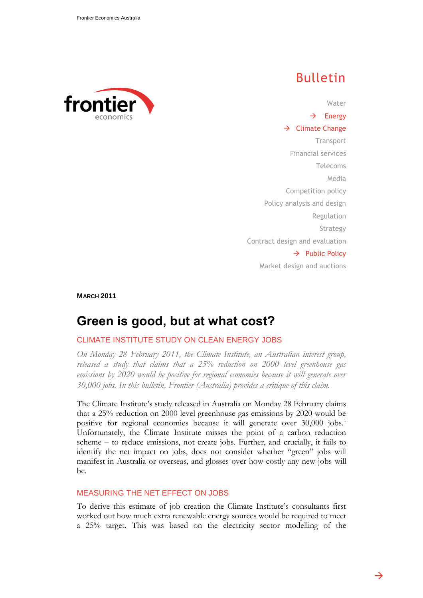

# Bulletin

Water  $\rightarrow$  Energy  $\rightarrow$  Climate Change **Transport** Financial services Telecoms Media Competition policy Policy analysis and design Regulation Strategy Contract design and evaluation  $\rightarrow$  Public Policy Market design and auctions

**MARCH 2011**

# **Green is good, but at what cost?**

## CLIMATE INSTITUTE STUDY ON CLEAN ENERGY JOBS

*On Monday 28 February 2011, the Climate Institute, an Australian interest group, released a study that claims that a 25% reduction on 2000 level greenhouse gas emissions by 2020 would be positive for regional economies because it will generate over 30,000 jobs. In this bulletin, Frontier (Australia) provides a critique of this claim.*

The Climate Institute"s study released in Australia on Monday 28 February claims that a 25% reduction on 2000 level greenhouse gas emissions by 2020 would be positive for regional economies because it will generate over 30,000 jobs.<sup>1</sup> Unfortunately, the Climate Institute misses the point of a carbon reduction scheme – to reduce emissions, not create jobs. Further, and crucially, it fails to identify the net impact on jobs, does not consider whether "green" jobs will manifest in Australia or overseas, and glosses over how costly any new jobs will be.

### MEASURING THE NET EFFECT ON JOBS

To derive this estimate of job creation the Climate Institute"s consultants first worked out how much extra renewable energy sources would be required to meet a 25% target. This was based on the electricity sector modelling of the

→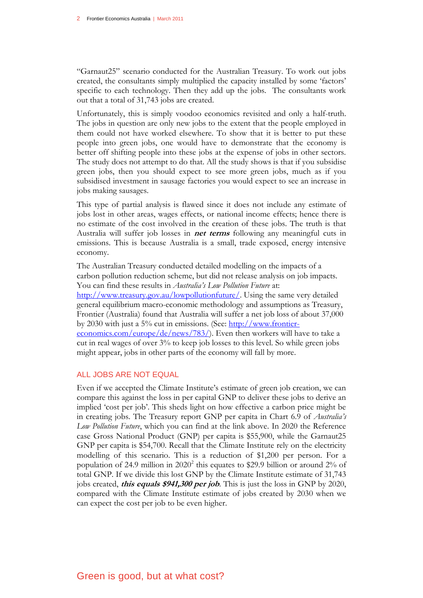"Garnaut25" scenario conducted for the Australian Treasury. To work out jobs created, the consultants simply multiplied the capacity installed by some "factors" specific to each technology. Then they add up the jobs. The consultants work out that a total of 31,743 jobs are created.

Unfortunately, this is simply voodoo economics revisited and only a half-truth. The jobs in question are only new jobs to the extent that the people employed in them could not have worked elsewhere. To show that it is better to put these people into green jobs, one would have to demonstrate that the economy is better off shifting people into these jobs at the expense of jobs in other sectors. The study does not attempt to do that. All the study shows is that if you subsidise green jobs, then you should expect to see more green jobs, much as if you subsidised investment in sausage factories you would expect to see an increase in jobs making sausages.

This type of partial analysis is flawed since it does not include any estimate of jobs lost in other areas, wages effects, or national income effects; hence there is no estimate of the cost involved in the creation of these jobs. The truth is that Australia will suffer job losses in **net terms** following any meaningful cuts in emissions. This is because Australia is a small, trade exposed, energy intensive economy.

The Australian Treasury conducted detailed modelling on the impacts of a carbon pollution reduction scheme, but did not release analysis on job impacts. You can find these results in *Australia's Low Pollution Future* at: [http://www.treasury.gov.au/lowpollutionfuture/.](http://www.treasury.gov.au/lowpollutionfuture/) Using the same very detailed general equilibrium macro-economic methodology and assumptions as Treasury, Frontier (Australia) found that Australia will suffer a net job loss of about 37,000 by 2030 with just a 5% cut in emissions. (See: [http://www.frontier](http://www.frontier-economics.com/europe/de/news/783/)[economics.com/europe/de/news/783/\)](http://www.frontier-economics.com/europe/de/news/783/). Even then workers will have to take a cut in real wages of over 3% to keep job losses to this level. So while green jobs might appear, jobs in other parts of the economy will fall by more.

### ALL JOBS ARE NOT EQUAL

Even if we accepted the Climate Institute"s estimate of green job creation, we can compare this against the loss in per capital GNP to deliver these jobs to derive an implied "cost per job". This sheds light on how effective a carbon price might be in creating jobs. The Treasury report GNP per capita in Chart 6.9 of *Australia's Low Pollution Future*, which you can find at the link above. In 2020 the Reference case Gross National Product (GNP) per capita is \$55,900, while the Garnaut25 GNP per capita is \$54,700. Recall that the Climate Institute rely on the electricity modelling of this scenario. This is a reduction of \$1,200 per person. For a population of 24.9 million in  $2020^2$  this equates to \$29.9 billion or around  $2\%$  of total GNP. If we divide this lost GNP by the Climate Institute estimate of 31,743 jobs created, **this equals \$941,300 per job**. This is just the loss in GNP by 2020, compared with the Climate Institute estimate of jobs created by 2030 when we can expect the cost per job to be even higher.